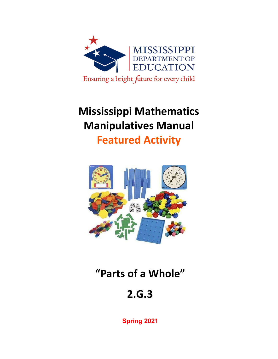

# **Mississippi Mathematics Manipulatives Manual**

**Featured Activity**



# **"Parts of a Whole"**

# **2.G.3**

**Spring 2021**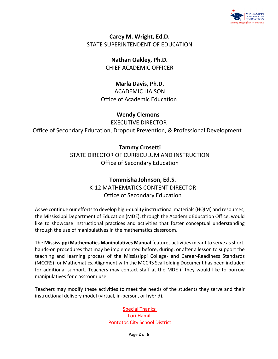

### **Carey M. Wright, Ed.D.** STATE SUPERINTENDENT OF EDUCATION

**Nathan Oakley, Ph.D.** CHIEF ACADEMIC OFFICER

**Marla Davis, Ph.D.** ACADEMIC LIAISON Office of Academic Education

**Wendy Clemons** EXECUTIVE DIRECTOR Office of Secondary Education, Dropout Prevention, & Professional Development

> **Tammy Crosetti** STATE DIRECTOR OF CURRICULUM AND INSTRUCTION Office of Secondary Education

### **Tommisha Johnson, Ed.S.** K-12 MATHEMATICS CONTENT DIRECTOR Office of Secondary Education

As we continue our efforts to develop high-quality instructional materials (HQIM) and resources, the Mississippi Department of Education (MDE), through the Academic Education Office, would like to showcase instructional practices and activities that foster conceptual understanding through the use of manipulatives in the mathematics classroom.

The **Mississippi Mathematics Manipulatives Manual** features activities meant to serve as short, hands-on procedures that may be implemented before, during, or after a lesson to support the teaching and learning process of the Mississippi College- and Career-Readiness Standards (MCCRS) for Mathematics. Alignment with the MCCRS Scaffolding Document has been included for additional support. Teachers may contact staff at the MDE if they would like to borrow manipulatives for classroom use.

Teachers may modify these activities to meet the needs of the students they serve and their instructional delivery model (virtual, in-person, or hybrid).

> Special Thanks: Lori Hamill Pontotoc City School District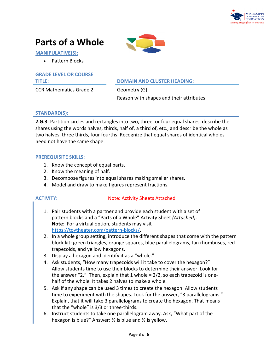

### **Parts of a Whole**

**MANIPULATIVE(S):**

• Pattern Blocks

## **GRADE LEVEL OR COURSE**

CCR Mathematics Grade 2 Geometry (G):

#### **TITLE: DOMAIN AND CLUSTER HEADING:**

Reason with shapes and their attributes

#### **STANDARD(S):**

**2.G.3**: Partition circles and rectangles into two, three, or four equal shares, describe the shares using the words halves, thirds, half of, a third of, etc., and describe the whole as two halves, three thirds, four fourths. Recognize that equal shares of identical wholes need not have the same shape.

#### **PREREQUISITE SKILLS:**

- 1. Know the concept of equal parts.
- 2. Know the meaning of half.
- 3. Decompose figures into equal shares making smaller shares.
- 4. Model and draw to make figures represent fractions.

#### **ACTIVITY:** Note: Activity Sheets Attached

- 1. Pair students with a partner and provide each student with a set of pattern blocks and a "Parts of a Whole" Activity Sheet *(Attached)*. **Note**: For a virtual option, students may visit [https://toytheater.com/pattern-blocks/.](https://toytheater.com/pattern-blocks/)
- 2. In a whole group setting, introduce the different shapes that come with the pattern block kit: green triangles, orange squares, blue parallelograms, tan rhombuses, red trapezoids, and yellow hexagons.
- 3. Display a hexagon and identify it as a "whole."
- 4. Ask students, "How many trapezoids will it take to cover the hexagon?" Allow students time to use their blocks to determine their answer. Look for the answer "2." Then, explain that 1 whole = 2/2, so each trapezoid is onehalf of the whole. It takes 2 halves to make a whole.
- 5. Ask if any shape can be used 3 times to create the hexagon. Allow students time to experiment with the shapes. Look for the answer, "3 parallelograms." Explain, that it will take 3 parallelograms to create the hexagon. That means that the "whole" is 3/3 or three-thirds.
- 6. Instruct students to take one parallelogram away. Ask, "What part of the hexagon is blue?" Answer: ⅔ is blue and ⅓ is yellow.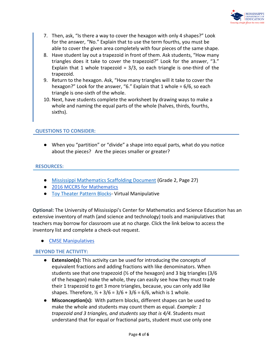

- 7. Then, ask, "Is there a way to cover the hexagon with only 4 shapes?" Look for the answer, "No." Explain that to use the term fourths, you must be able to cover the given area completely with four pieces of the same shape.
- 8. Have student lay out a trapezoid in front of them. Ask students, "How many triangles does it take to cover the trapezoid?" Look for the answer, "3." Explain that 1 whole trapezoid =  $3/3$ , so each triangle is one-third of the trapezoid.
- 9. Return to the hexagon. Ask, "How many triangles will it take to cover the hexagon?" Look for the answer, "6." Explain that 1 whole = 6/6, so each triangle is one-sixth of the whole.
- 10. Next, have students complete the worksheet by drawing ways to make a whole and naming the equal parts of the whole (halves, thirds, fourths, sixths).

#### **QUESTIONS TO CONSIDER:**

● When you "partition" or "divide" a shape into equal parts, what do you notice about the pieces? Are the pieces smaller or greater?

#### **RESOURCES:**

- [Mississippi Mathematics Scaffolding Document](https://www.mdek12.org/sites/default/files/Offices/Secondary%20Ed/ELA/ccr/Math/02.Grade-2-Math-Scaffolding-Doc.pdf) (Grade 2, Page 27)
- [2016 MCCRS for Mathematics](https://districtaccess.mde.k12.ms.us/curriculumandInstruction/Mathematics%20Resources/MS%20CCSSM%20Framework%20Documents/2016-MS-CCRS-Math.pdf)
- [Toy Theater Pattern Blocks-](https://toytheater.com/pattern-blocks/) Virtual Manipulative

**Optional:** The University of Mississippi's Center for Mathematics and Science Education has an extensive inventory of math (and science and technology) tools and manipulatives that teachers may borrow for classroom use at no charge. Click the link below to access the inventory list and complete a check-out request.

● [CMSE Manipulatives](https://sites.google.com/go.olemiss.edu/cmseresources/home)

#### **BEYOND THE ACTIVITY:**

- **Extension(s):** This activity can be used for introducing the concepts of equivalent fractions and adding fractions with like denominators. When students see that one trapezoid (½ of the hexagon) and 3 big triangles (3/6 of the hexagon) make the whole, they can easily see how they must trade their 1 trapezoid to get 3 more triangles, because, you can only add like shapes. Therefore,  $\frac{1}{2} + \frac{3}{6} = \frac{3}{6} + \frac{3}{6} = \frac{6}{6}$ , which is 1 whole.
- **Misconception(s):** With pattern blocks, different shapes can be used to make the whole and students may count them as equal. *Example: 1 trapezoid and 3 triangles, and students say that is 4/4.* Students must understand that for equal or fractional parts, student must use only one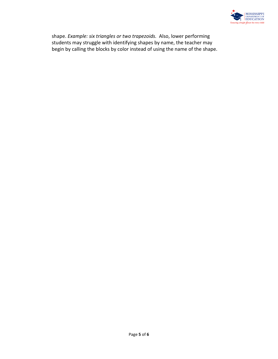

shape. *Example: six triangles or two trapezoids.* Also, lower performing students may struggle with identifying shapes by name, the teacher may begin by calling the blocks by color instead of using the name of the shape.